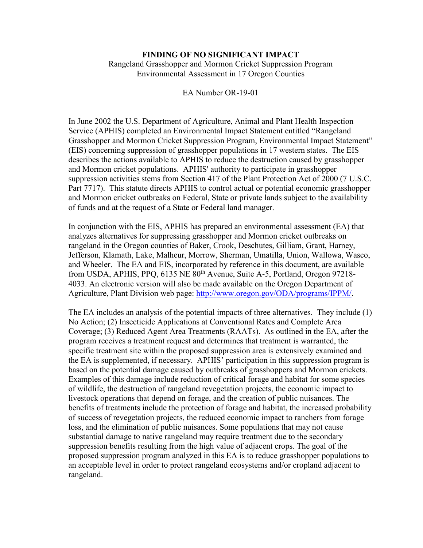## **FINDING OF NO SIGNIFICANT IMPACT**

Rangeland Grasshopper and Mormon Cricket Suppression Program Environmental Assessment in 17 Oregon Counties

EA Number OR-19-01

In June 2002 the U.S. Department of Agriculture, Animal and Plant Health Inspection Service (APHIS) completed an Environmental Impact Statement entitled "Rangeland Grasshopper and Mormon Cricket Suppression Program, Environmental Impact Statement" (EIS) concerning suppression of grasshopper populations in 17 western states. The EIS describes the actions available to APHIS to reduce the destruction caused by grasshopper and Mormon cricket populations. APHIS' authority to participate in grasshopper suppression activities stems from Section 417 of the Plant Protection Act of 2000 (7 U.S.C. Part 7717). This statute directs APHIS to control actual or potential economic grasshopper and Mormon cricket outbreaks on Federal, State or private lands subject to the availability of funds and at the request of a State or Federal land manager.

In conjunction with the EIS, APHIS has prepared an environmental assessment (EA) that analyzes alternatives for suppressing grasshopper and Mormon cricket outbreaks on rangeland in the Oregon counties of Baker, Crook, Deschutes, Gilliam, Grant, Harney, Jefferson, Klamath, Lake, Malheur, Morrow, Sherman, Umatilla, Union, Wallowa, Wasco, and Wheeler. The EA and EIS, incorporated by reference in this document, are available from USDA, APHIS, PPQ, 6135 NE 80<sup>th</sup> Avenue, Suite A-5, Portland, Oregon 97218-4033. An electronic version will also be made available on the Oregon Department of Agriculture, Plant Division web page: [http://www.oregon.gov/ODA/programs/IPPM/.](http://www.oregon.gov/ODA/programs/IPPM/SuppressionEradication/Pages/GrasshopperEA.aspx)

The EA includes an analysis of the potential impacts of three alternatives. They include (1) No Action; (2) Insecticide Applications at Conventional Rates and Complete Area Coverage; (3) Reduced Agent Area Treatments (RAATs). As outlined in the EA, after the program receives a treatment request and determines that treatment is warranted, the specific treatment site within the proposed suppression area is extensively examined and the EA is supplemented, if necessary. APHIS' participation in this suppression program is based on the potential damage caused by outbreaks of grasshoppers and Mormon crickets. Examples of this damage include reduction of critical forage and habitat for some species of wildlife, the destruction of rangeland revegetation projects, the economic impact to livestock operations that depend on forage, and the creation of public nuisances. The benefits of treatments include the protection of forage and habitat, the increased probability of success of revegetation projects, the reduced economic impact to ranchers from forage loss, and the elimination of public nuisances. Some populations that may not cause substantial damage to native rangeland may require treatment due to the secondary suppression benefits resulting from the high value of adjacent crops. The goal of the proposed suppression program analyzed in this EA is to reduce grasshopper populations to an acceptable level in order to protect rangeland ecosystems and/or cropland adjacent to rangeland.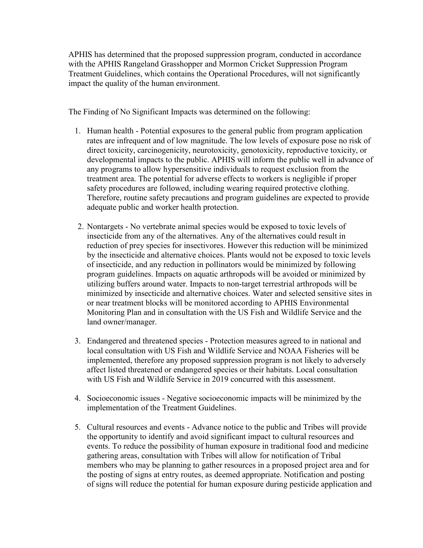APHIS has determined that the proposed suppression program, conducted in accordance with the APHIS Rangeland Grasshopper and Mormon Cricket Suppression Program Treatment Guidelines, which contains the Operational Procedures, will not significantly impact the quality of the human environment.

The Finding of No Significant Impacts was determined on the following:

- 1. Human health Potential exposures to the general public from program application rates are infrequent and of low magnitude. The low levels of exposure pose no risk of direct toxicity, carcinogenicity, neurotoxicity, genotoxicity, reproductive toxicity, or developmental impacts to the public. APHIS will inform the public well in advance of any programs to allow hypersensitive individuals to request exclusion from the treatment area. The potential for adverse effects to workers is negligible if proper safety procedures are followed, including wearing required protective clothing. Therefore, routine safety precautions and program guidelines are expected to provide adequate public and worker health protection.
- 2. Nontargets No vertebrate animal species would be exposed to toxic levels of insecticide from any of the alternatives. Any of the alternatives could result in reduction of prey species for insectivores. However this reduction will be minimized by the insecticide and alternative choices. Plants would not be exposed to toxic levels of insecticide, and any reduction in pollinators would be minimized by following program guidelines. Impacts on aquatic arthropods will be avoided or minimized by utilizing buffers around water. Impacts to non-target terrestrial arthropods will be minimized by insecticide and alternative choices. Water and selected sensitive sites in or near treatment blocks will be monitored according to APHIS Environmental Monitoring Plan and in consultation with the US Fish and Wildlife Service and the land owner/manager.
- 3. Endangered and threatened species Protection measures agreed to in national and local consultation with US Fish and Wildlife Service and NOAA Fisheries will be implemented, therefore any proposed suppression program is not likely to adversely affect listed threatened or endangered species or their habitats. Local consultation with US Fish and Wildlife Service in 2019 concurred with this assessment.
- 4. Socioeconomic issues Negative socioeconomic impacts will be minimized by the implementation of the Treatment Guidelines.
- 5. Cultural resources and events Advance notice to the public and Tribes will provide the opportunity to identify and avoid significant impact to cultural resources and events. To reduce the possibility of human exposure in traditional food and medicine gathering areas, consultation with Tribes will allow for notification of Tribal members who may be planning to gather resources in a proposed project area and for the posting of signs at entry routes, as deemed appropriate. Notification and posting of signs will reduce the potential for human exposure during pesticide application and